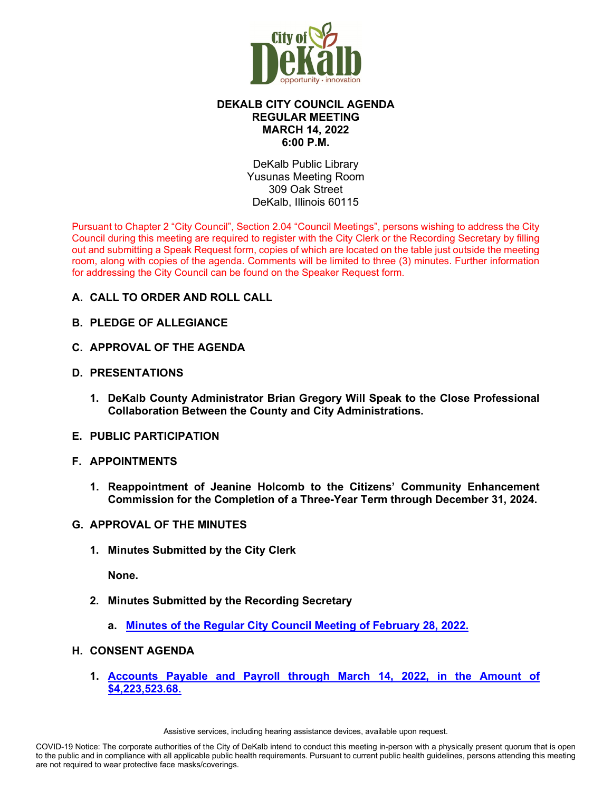

# **DEKALB CITY COUNCIL AGENDA REGULAR MEETING MARCH 14, 2022 6:00 P.M.**

DeKalb Public Library Yusunas Meeting Room 309 Oak Street DeKalb, Illinois 60115

Pursuant to Chapter 2 "City Council", Section 2.04 "Council Meetings", persons wishing to address the City Council during this meeting are required to register with the City Clerk or the Recording Secretary by filling out and submitting a Speak Request form, copies of which are located on the table just outside the meeting room, along with copies of the agenda. Comments will be limited to three (3) minutes. Further information for addressing the City Council can be found on the Speaker Request form.

- **A. CALL TO ORDER AND ROLL CALL**
- **B. PLEDGE OF ALLEGIANCE**
- **C. APPROVAL OF THE AGENDA**
- **D. PRESENTATIONS**
	- **1. DeKalb County Administrator Brian Gregory Will Speak to the Close Professional Collaboration Between the County and City Administrations.**
- **E. PUBLIC PARTICIPATION**
- **F. APPOINTMENTS**
	- **1. Reappointment of Jeanine Holcomb to the Citizens' Community Enhancement Commission for the Completion of a Three-Year Term through December 31, 2024.**
- **G. APPROVAL OF THE MINUTES**
	- **1. Minutes Submitted by the City Clerk**

**None.** 

- **2. Minutes Submitted by the Recording Secretary**
	- **a. [Minutes of the Regular City Council Meeting of February 28, 2022.](https://www.cityofdekalb.com/DocumentCenter/View/13656/2-022822-Regular-Minutes-FINAL)**

#### **H. CONSENT AGENDA**

**1. [Accounts Payable and Payroll through March 14, 2022, in the Amount of](https://www.cityofdekalb.com/DocumentCenter/View/13657/3-031422-APP)  [\\$4,223,523.68.](https://www.cityofdekalb.com/DocumentCenter/View/13657/3-031422-APP)**

Assistive services, including hearing assistance devices, available upon request.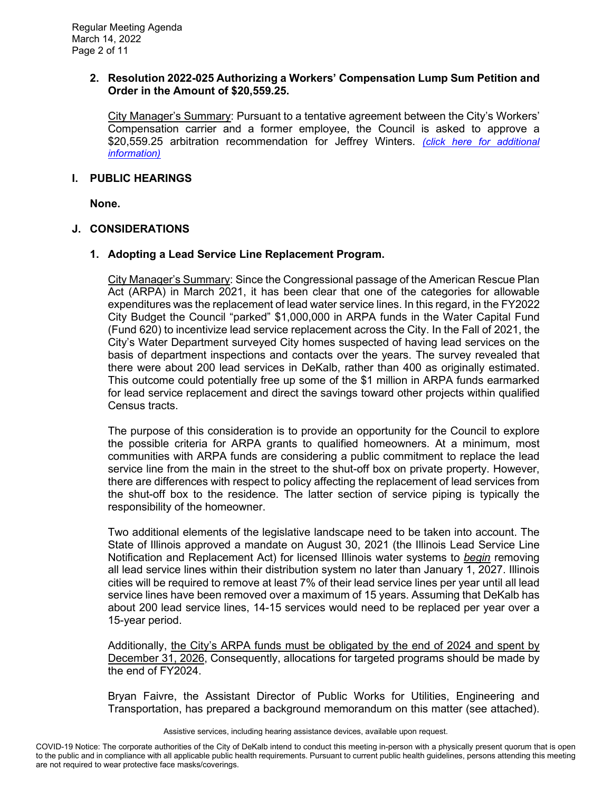#### **2. Resolution 2022-025 Authorizing a Workers' Compensation Lump Sum Petition and Order in the Amount of \$20,559.25.**

City Manager's Summary: Pursuant to a tentative agreement between the City's Workers' Compensation carrier and a former employee, the Council is asked to approve a \$20,559.25 arbitration recommendation for Jeffrey Winters. *[\(click here for additional](https://www.cityofdekalb.com/DocumentCenter/View/13658/4-Res-2022-025)  [information\)](https://www.cityofdekalb.com/DocumentCenter/View/13658/4-Res-2022-025)*

## **I. PUBLIC HEARINGS**

**None.** 

# **J. CONSIDERATIONS**

# **1. Adopting a Lead Service Line Replacement Program.**

City Manager's Summary: Since the Congressional passage of the American Rescue Plan Act (ARPA) in March 2021, it has been clear that one of the categories for allowable expenditures was the replacement of lead water service lines. In this regard, in the FY2022 City Budget the Council "parked" \$1,000,000 in ARPA funds in the Water Capital Fund (Fund 620) to incentivize lead service replacement across the City. In the Fall of 2021, the City's Water Department surveyed City homes suspected of having lead services on the basis of department inspections and contacts over the years. The survey revealed that there were about 200 lead services in DeKalb, rather than 400 as originally estimated. This outcome could potentially free up some of the \$1 million in ARPA funds earmarked for lead service replacement and direct the savings toward other projects within qualified Census tracts.

The purpose of this consideration is to provide an opportunity for the Council to explore the possible criteria for ARPA grants to qualified homeowners. At a minimum, most communities with ARPA funds are considering a public commitment to replace the lead service line from the main in the street to the shut-off box on private property. However, there are differences with respect to policy affecting the replacement of lead services from the shut-off box to the residence. The latter section of service piping is typically the responsibility of the homeowner.

Two additional elements of the legislative landscape need to be taken into account. The State of Illinois approved a mandate on August 30, 2021 (the Illinois Lead Service Line Notification and Replacement Act) for licensed Illinois water systems to *begin* removing all lead service lines within their distribution system no later than January 1, 2027. Illinois cities will be required to remove at least 7% of their lead service lines per year until all lead service lines have been removed over a maximum of 15 years. Assuming that DeKalb has about 200 lead service lines, 14-15 services would need to be replaced per year over a 15-year period.

Additionally, the City's ARPA funds must be obligated by the end of 2024 and spent by December 31, 2026, Consequently, allocations for targeted programs should be made by the end of FY2024.

Bryan Faivre, the Assistant Director of Public Works for Utilities, Engineering and Transportation, has prepared a background memorandum on this matter (see attached).

Assistive services, including hearing assistance devices, available upon request.

COVID-19 Notice: The corporate authorities of the City of DeKalb intend to conduct this meeting in-person with a physically present quorum that is open to the public and in compliance with all applicable public health requirements. Pursuant to current public health guidelines, persons attending this meeting are not required to wear protective face masks/coverings.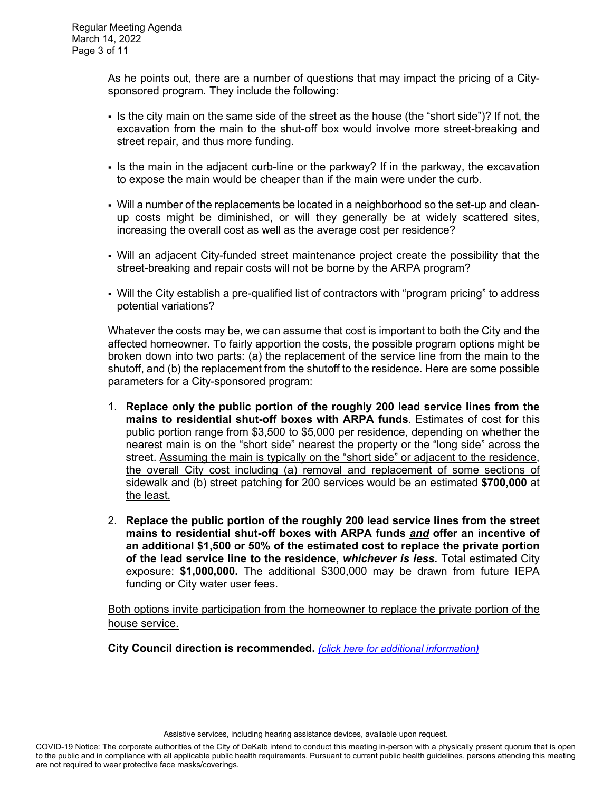As he points out, there are a number of questions that may impact the pricing of a Citysponsored program. They include the following:

- If is the city main on the same side of the street as the house (the "short side")? If not, the excavation from the main to the shut-off box would involve more street-breaking and street repair, and thus more funding.
- Is the main in the adjacent curb-line or the parkway? If in the parkway, the excavation to expose the main would be cheaper than if the main were under the curb.
- Will a number of the replacements be located in a neighborhood so the set-up and cleanup costs might be diminished, or will they generally be at widely scattered sites, increasing the overall cost as well as the average cost per residence?
- Will an adjacent City-funded street maintenance project create the possibility that the street-breaking and repair costs will not be borne by the ARPA program?
- Will the City establish a pre-qualified list of contractors with "program pricing" to address potential variations?

Whatever the costs may be, we can assume that cost is important to both the City and the affected homeowner. To fairly apportion the costs, the possible program options might be broken down into two parts: (a) the replacement of the service line from the main to the shutoff, and (b) the replacement from the shutoff to the residence. Here are some possible parameters for a City-sponsored program:

- 1. **Replace only the public portion of the roughly 200 lead service lines from the mains to residential shut-off boxes with ARPA funds**. Estimates of cost for this public portion range from \$3,500 to \$5,000 per residence, depending on whether the nearest main is on the "short side" nearest the property or the "long side" across the street. Assuming the main is typically on the "short side" or adjacent to the residence, the overall City cost including (a) removal and replacement of some sections of sidewalk and (b) street patching for 200 services would be an estimated **\$700,000** at the least.
- 2. **Replace the public portion of the roughly 200 lead service lines from the street mains to residential shut-off boxes with ARPA funds** *and* **offer an incentive of an additional \$1,500 or 50% of the estimated cost to replace the private portion of the lead service line to the residence,** *whichever is less***.** Total estimated City exposure: **\$1,000,000.** The additional \$300,000 may be drawn from future IEPA funding or City water user fees.

Both options invite participation from the homeowner to replace the private portion of the house service.

**City Council direction is recommended.** *[\(click here for additional information\)](https://www.cityofdekalb.com/DocumentCenter/View/13659/5-Consider---Lead-Serv-Line-Asst-Prog)*

Assistive services, including hearing assistance devices, available upon request.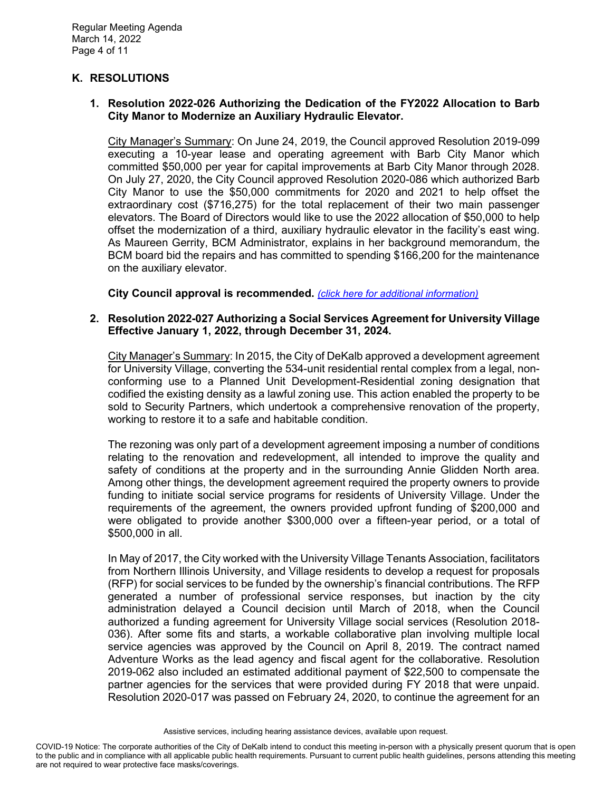# **K. RESOLUTIONS**

#### **1. Resolution 2022-026 Authorizing the Dedication of the FY2022 Allocation to Barb City Manor to Modernize an Auxiliary Hydraulic Elevator.**

City Manager's Summary: On June 24, 2019, the Council approved Resolution 2019-099 executing a 10-year lease and operating agreement with Barb City Manor which committed \$50,000 per year for capital improvements at Barb City Manor through 2028. On July 27, 2020, the City Council approved Resolution 2020-086 which authorized Barb City Manor to use the \$50,000 commitments for 2020 and 2021 to help offset the extraordinary cost (\$716,275) for the total replacement of their two main passenger elevators. The Board of Directors would like to use the 2022 allocation of \$50,000 to help offset the modernization of a third, auxiliary hydraulic elevator in the facility's east wing. As Maureen Gerrity, BCM Administrator, explains in her background memorandum, the BCM board bid the repairs and has committed to spending \$166,200 for the maintenance on the auxiliary elevator.

**City Council approval is recommended.** *[\(click here for additional information\)](https://www.cityofdekalb.com/DocumentCenter/View/13660/6-Res-2022-026)*

#### **2. Resolution 2022-027 Authorizing a Social Services Agreement for University Village Effective January 1, 2022, through December 31, 2024.**

City Manager's Summary: In 2015, the City of DeKalb approved a development agreement for University Village, converting the 534-unit residential rental complex from a legal, nonconforming use to a Planned Unit Development-Residential zoning designation that codified the existing density as a lawful zoning use. This action enabled the property to be sold to Security Partners, which undertook a comprehensive renovation of the property, working to restore it to a safe and habitable condition.

The rezoning was only part of a development agreement imposing a number of conditions relating to the renovation and redevelopment, all intended to improve the quality and safety of conditions at the property and in the surrounding Annie Glidden North area. Among other things, the development agreement required the property owners to provide funding to initiate social service programs for residents of University Village. Under the requirements of the agreement, the owners provided upfront funding of \$200,000 and were obligated to provide another \$300,000 over a fifteen-year period, or a total of \$500,000 in all.

In May of 2017, the City worked with the University Village Tenants Association, facilitators from Northern Illinois University, and Village residents to develop a request for proposals (RFP) for social services to be funded by the ownership's financial contributions. The RFP generated a number of professional service responses, but inaction by the city administration delayed a Council decision until March of 2018, when the Council authorized a funding agreement for University Village social services (Resolution 2018- 036). After some fits and starts, a workable collaborative plan involving multiple local service agencies was approved by the Council on April 8, 2019. The contract named Adventure Works as the lead agency and fiscal agent for the collaborative. Resolution 2019-062 also included an estimated additional payment of \$22,500 to compensate the partner agencies for the services that were provided during FY 2018 that were unpaid. Resolution 2020-017 was passed on February 24, 2020, to continue the agreement for an

Assistive services, including hearing assistance devices, available upon request.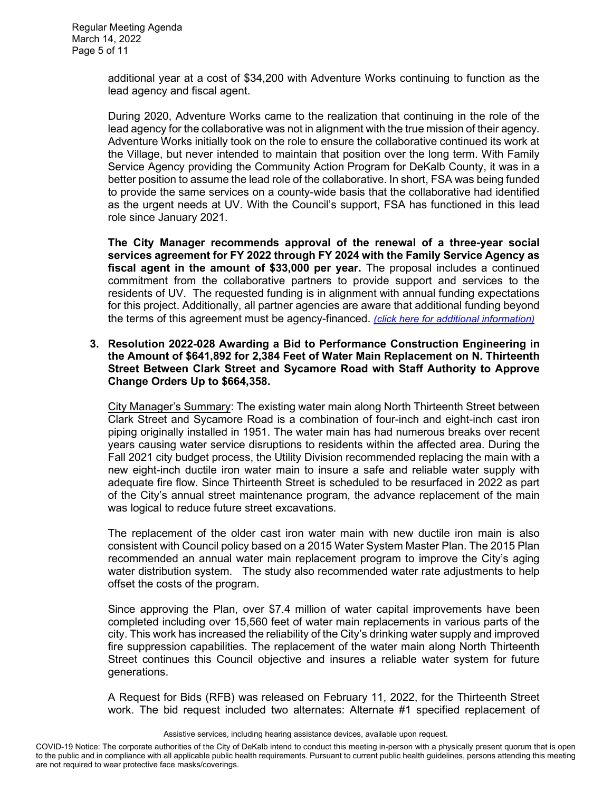additional year at a cost of \$34,200 with Adventure Works continuing to function as the lead agency and fiscal agent.

During 2020, Adventure Works came to the realization that continuing in the role of the lead agency for the collaborative was not in alignment with the true mission of their agency. Adventure Works initially took on the role to ensure the collaborative continued its work at the Village, but never intended to maintain that position over the long term. With Family Service Agency providing the Community Action Program for DeKalb County, it was in a better position to assume the lead role of the collaborative. In short, FSA was being funded to provide the same services on a county-wide basis that the collaborative had identified as the urgent needs at UV. With the Council's support, FSA has functioned in this lead role since January 2021.

**The City Manager recommends approval of the renewal of a three-year social services agreement for FY 2022 through FY 2024 with the Family Service Agency as fiscal agent in the amount of \$33,000 per year.** The proposal includes a continued commitment from the collaborative partners to provide support and services to the residents of UV. The requested funding is in alignment with annual funding expectations for this project. Additionally, all partner agencies are aware that additional funding beyond the terms of this agreement must be agency-financed. *[\(click here for additional information\)](https://www.cityofdekalb.com/DocumentCenter/View/13661/7-Res-2022-027)*

#### **3. Resolution 2022-028 Awarding a Bid to Performance Construction Engineering in the Amount of \$641,892 for 2,384 Feet of Water Main Replacement on N. Thirteenth Street Between Clark Street and Sycamore Road with Staff Authority to Approve Change Orders Up to \$664,358.**

City Manager's Summary: The existing water main along North Thirteenth Street between Clark Street and Sycamore Road is a combination of four-inch and eight-inch cast iron piping originally installed in 1951. The water main has had numerous breaks over recent years causing water service disruptions to residents within the affected area. During the Fall 2021 city budget process, the Utility Division recommended replacing the main with a new eight-inch ductile iron water main to insure a safe and reliable water supply with adequate fire flow. Since Thirteenth Street is scheduled to be resurfaced in 2022 as part of the City's annual street maintenance program, the advance replacement of the main was logical to reduce future street excavations.

The replacement of the older cast iron water main with new ductile iron main is also consistent with Council policy based on a 2015 Water System Master Plan. The 2015 Plan recommended an annual water main replacement program to improve the City's aging water distribution system. The study also recommended water rate adjustments to help offset the costs of the program.

Since approving the Plan, over \$7.4 million of water capital improvements have been completed including over 15,560 feet of water main replacements in various parts of the city. This work has increased the reliability of the City's drinking water supply and improved fire suppression capabilities. The replacement of the water main along North Thirteenth Street continues this Council objective and insures a reliable water system for future generations.

A Request for Bids (RFB) was released on February 11, 2022, for the Thirteenth Street work. The bid request included two alternates: Alternate #1 specified replacement of

Assistive services, including hearing assistance devices, available upon request.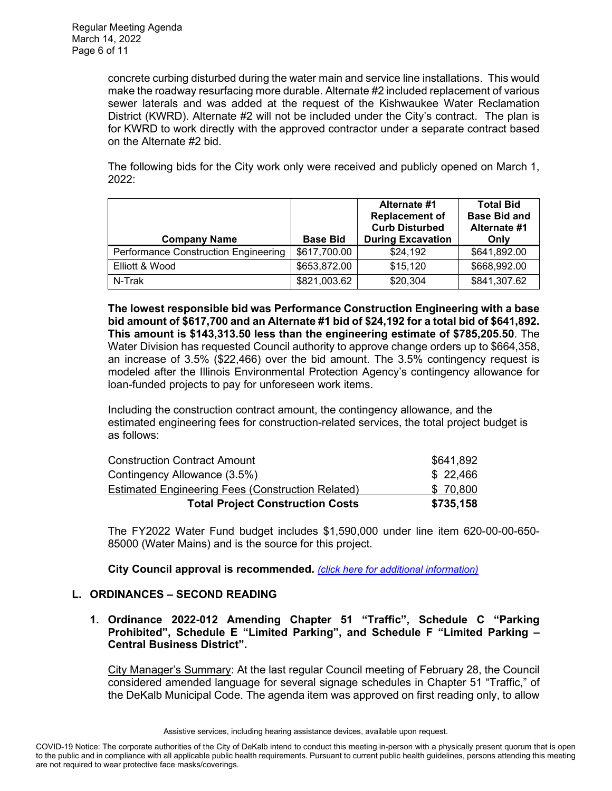concrete curbing disturbed during the water main and service line installations. This would make the roadway resurfacing more durable. Alternate #2 included replacement of various sewer laterals and was added at the request of the Kishwaukee Water Reclamation District (KWRD). Alternate #2 will not be included under the City's contract. The plan is for KWRD to work directly with the approved contractor under a separate contract based on the Alternate #2 bid.

The following bids for the City work only were received and publicly opened on March 1, 2022:

| <b>Company Name</b>                  | <b>Base Bid</b> | Alternate #1<br><b>Replacement of</b><br><b>Curb Disturbed</b><br><b>During Excavation</b> | <b>Total Bid</b><br><b>Base Bid and</b><br>Alternate #1<br>Only |
|--------------------------------------|-----------------|--------------------------------------------------------------------------------------------|-----------------------------------------------------------------|
| Performance Construction Engineering | \$617,700.00    | \$24,192                                                                                   | \$641,892.00                                                    |
| Elliott & Wood                       | \$653,872.00    | \$15,120                                                                                   | \$668,992.00                                                    |
| N-Trak                               | \$821,003.62    | \$20,304                                                                                   | \$841,307.62                                                    |

**The lowest responsible bid was Performance Construction Engineering with a base bid amount of \$617,700 and an Alternate #1 bid of \$24,192 for a total bid of \$641,892. This amount is \$143,313.50 less than the engineering estimate of \$785,205.50**. The Water Division has requested Council authority to approve change orders up to \$664,358, an increase of 3.5% (\$22,466) over the bid amount. The 3.5% contingency request is modeled after the Illinois Environmental Protection Agency's contingency allowance for loan-funded projects to pay for unforeseen work items.

Including the construction contract amount, the contingency allowance, and the estimated engineering fees for construction-related services, the total project budget is as follows:

| <b>Total Project Construction Costs</b>           | \$735,158 |
|---------------------------------------------------|-----------|
| Estimated Engineering Fees (Construction Related) | \$70,800  |
| Contingency Allowance (3.5%)                      | \$22,466  |
| <b>Construction Contract Amount</b>               | \$641,892 |

The FY2022 Water Fund budget includes \$1,590,000 under line item 620-00-00-650- 85000 (Water Mains) and is the source for this project.

**City Council approval is recommended.** *[\(click here for additional information\)](https://www.cityofdekalb.com/DocumentCenter/View/13662/8-Res-2022-028)*

# **L. ORDINANCES – SECOND READING**

**1. Ordinance 2022-012 Amending Chapter 51 "Traffic", Schedule C "Parking Prohibited", Schedule E "Limited Parking", and Schedule F "Limited Parking – Central Business District".** 

City Manager's Summary: At the last regular Council meeting of February 28, the Council considered amended language for several signage schedules in Chapter 51 "Traffic," of the DeKalb Municipal Code. The agenda item was approved on first reading only, to allow

Assistive services, including hearing assistance devices, available upon request.

COVID-19 Notice: The corporate authorities of the City of DeKalb intend to conduct this meeting in-person with a physically present quorum that is open to the public and in compliance with all applicable public health requirements. Pursuant to current public health guidelines, persons attending this meeting are not required to wear protective face masks/coverings.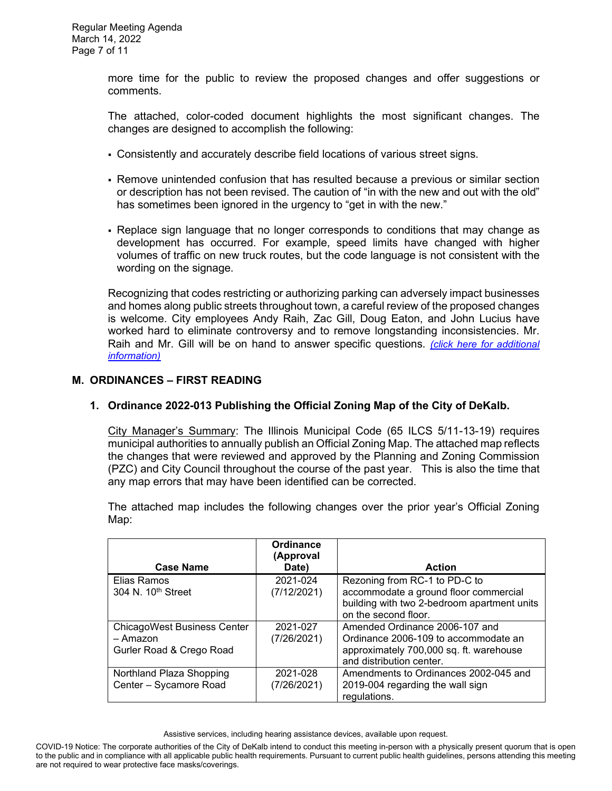more time for the public to review the proposed changes and offer suggestions or comments.

The attached, color-coded document highlights the most significant changes. The changes are designed to accomplish the following:

- Consistently and accurately describe field locations of various street signs.
- Remove unintended confusion that has resulted because a previous or similar section or description has not been revised. The caution of "in with the new and out with the old" has sometimes been ignored in the urgency to "get in with the new."
- Replace sign language that no longer corresponds to conditions that may change as development has occurred. For example, speed limits have changed with higher volumes of traffic on new truck routes, but the code language is not consistent with the wording on the signage.

Recognizing that codes restricting or authorizing parking can adversely impact businesses and homes along public streets throughout town, a careful review of the proposed changes is welcome. City employees Andy Raih, Zac Gill, Doug Eaton, and John Lucius have worked hard to eliminate controversy and to remove longstanding inconsistencies. Mr. Raih and Mr. Gill will be on hand to answer specific questions. *[\(click here for additional](https://www.cityofdekalb.com/DocumentCenter/View/13663/9-Ord-2022-012)  [information\)](https://www.cityofdekalb.com/DocumentCenter/View/13663/9-Ord-2022-012)*

# **M. ORDINANCES – FIRST READING**

#### **1. Ordinance 2022-013 Publishing the Official Zoning Map of the City of DeKalb.**

City Manager's Summary: The Illinois Municipal Code (65 ILCS 5/11-13-19) requires municipal authorities to annually publish an Official Zoning Map. The attached map reflects the changes that were reviewed and approved by the Planning and Zoning Commission (PZC) and City Council throughout the course of the past year. This is also the time that any map errors that may have been identified can be corrected.

The attached map includes the following changes over the prior year's Official Zoning Map:

|                                    | Ordinance<br>(Approval |                                             |
|------------------------------------|------------------------|---------------------------------------------|
| <b>Case Name</b>                   | Date)                  | <b>Action</b>                               |
| Elias Ramos                        | 2021-024               | Rezoning from RC-1 to PD-C to               |
| 304 N. 10 <sup>th</sup> Street     | (7/12/2021)            | accommodate a ground floor commercial       |
|                                    |                        | building with two 2-bedroom apartment units |
|                                    |                        | on the second floor.                        |
| <b>ChicagoWest Business Center</b> | 2021-027               | Amended Ordinance 2006-107 and              |
| - Amazon                           | (7/26/2021)            | Ordinance 2006-109 to accommodate an        |
| Gurler Road & Crego Road           |                        | approximately 700,000 sq. ft. warehouse     |
|                                    |                        | and distribution center.                    |
| Northland Plaza Shopping           | 2021-028               | Amendments to Ordinances 2002-045 and       |
| Center - Sycamore Road             | (7/26/2021)            | 2019-004 regarding the wall sign            |
|                                    |                        | regulations.                                |

Assistive services, including hearing assistance devices, available upon request.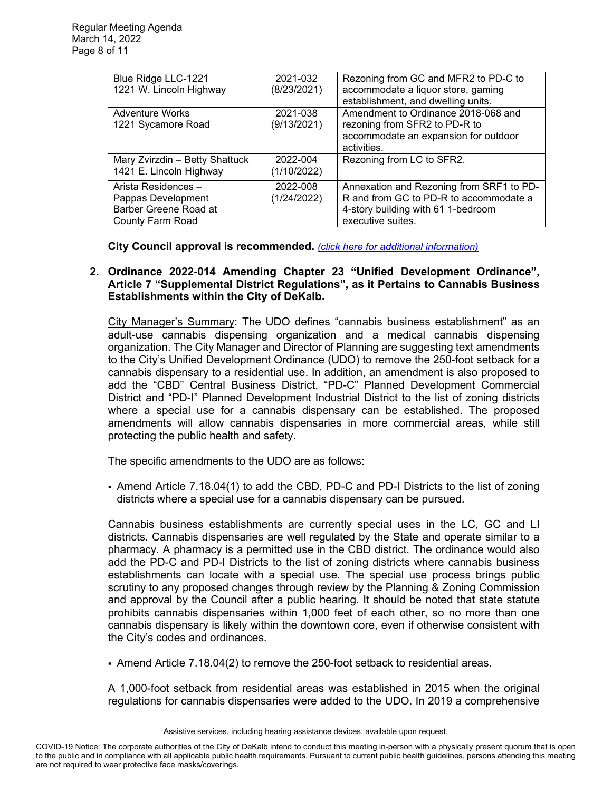| Blue Ridge LLC-1221            | 2021-032    | Rezoning from GC and MFR2 to PD-C to     |
|--------------------------------|-------------|------------------------------------------|
| 1221 W. Lincoln Highway        | (8/23/2021) | accommodate a liquor store, gaming       |
|                                |             | establishment, and dwelling units.       |
| <b>Adventure Works</b>         | 2021-038    | Amendment to Ordinance 2018-068 and      |
| 1221 Sycamore Road             | (9/13/2021) | rezoning from SFR2 to PD-R to            |
|                                |             | accommodate an expansion for outdoor     |
|                                |             | activities.                              |
| Mary Zvirzdin - Betty Shattuck | 2022-004    | Rezoning from LC to SFR2.                |
| 1421 E. Lincoln Highway        | (1/10/2022) |                                          |
| Arista Residences -            | 2022-008    | Annexation and Rezoning from SRF1 to PD- |
| Pappas Development             | (1/24/2022) | R and from GC to PD-R to accommodate a   |
| Barber Greene Road at          |             | 4-story building with 61 1-bedroom       |
| County Farm Road               |             | executive suites.                        |

**City Council approval is recommended.** *[\(click here for additional information\)](https://www.cityofdekalb.com/DocumentCenter/View/13664/10-Ord-2022-013)*

## **2. Ordinance 2022-014 Amending Chapter 23 "Unified Development Ordinance", Article 7 "Supplemental District Regulations", as it Pertains to Cannabis Business Establishments within the City of DeKalb.**

City Manager's Summary: The UDO defines "cannabis business establishment" as an adult-use cannabis dispensing organization and a medical cannabis dispensing organization. The City Manager and Director of Planning are suggesting text amendments to the City's Unified Development Ordinance (UDO) to remove the 250-foot setback for a cannabis dispensary to a residential use. In addition, an amendment is also proposed to add the "CBD" Central Business District, "PD-C" Planned Development Commercial District and "PD-I" Planned Development Industrial District to the list of zoning districts where a special use for a cannabis dispensary can be established. The proposed amendments will allow cannabis dispensaries in more commercial areas, while still protecting the public health and safety.

The specific amendments to the UDO are as follows:

 Amend Article 7.18.04(1) to add the CBD, PD-C and PD-I Districts to the list of zoning districts where a special use for a cannabis dispensary can be pursued.

Cannabis business establishments are currently special uses in the LC, GC and LI districts. Cannabis dispensaries are well regulated by the State and operate similar to a pharmacy. A pharmacy is a permitted use in the CBD district. The ordinance would also add the PD-C and PD-I Districts to the list of zoning districts where cannabis business establishments can locate with a special use. The special use process brings public scrutiny to any proposed changes through review by the Planning & Zoning Commission and approval by the Council after a public hearing. It should be noted that state statute prohibits cannabis dispensaries within 1,000 feet of each other, so no more than one cannabis dispensary is likely within the downtown core, even if otherwise consistent with the City's codes and ordinances.

Amend Article 7.18.04(2) to remove the 250-foot setback to residential areas.

A 1,000-foot setback from residential areas was established in 2015 when the original regulations for cannabis dispensaries were added to the UDO. In 2019 a comprehensive

Assistive services, including hearing assistance devices, available upon request.

COVID-19 Notice: The corporate authorities of the City of DeKalb intend to conduct this meeting in-person with a physically present quorum that is open to the public and in compliance with all applicable public health requirements. Pursuant to current public health guidelines, persons attending this meeting are not required to wear protective face masks/coverings.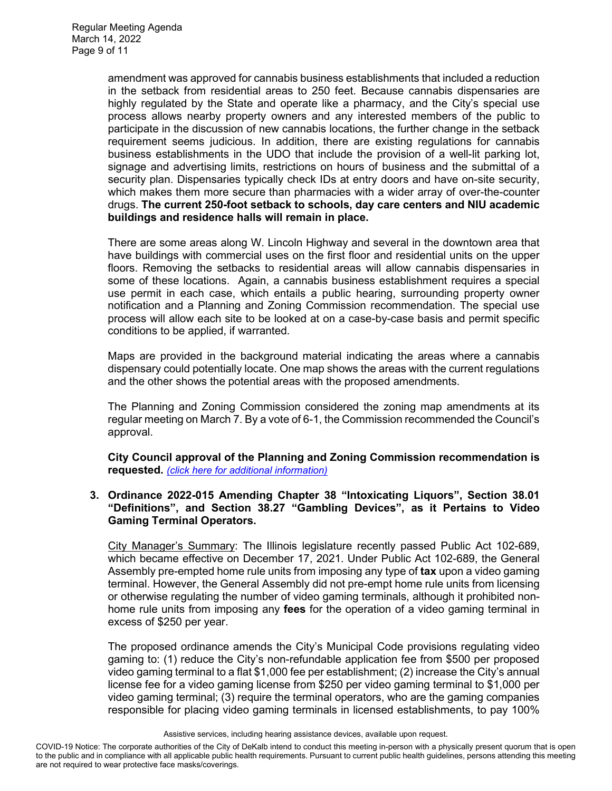amendment was approved for cannabis business establishments that included a reduction in the setback from residential areas to 250 feet. Because cannabis dispensaries are highly regulated by the State and operate like a pharmacy, and the City's special use process allows nearby property owners and any interested members of the public to participate in the discussion of new cannabis locations, the further change in the setback requirement seems judicious. In addition, there are existing regulations for cannabis business establishments in the UDO that include the provision of a well-lit parking lot, signage and advertising limits, restrictions on hours of business and the submittal of a security plan. Dispensaries typically check IDs at entry doors and have on-site security, which makes them more secure than pharmacies with a wider array of over-the-counter drugs. **The current 250-foot setback to schools, day care centers and NIU academic buildings and residence halls will remain in place.** 

There are some areas along W. Lincoln Highway and several in the downtown area that have buildings with commercial uses on the first floor and residential units on the upper floors. Removing the setbacks to residential areas will allow cannabis dispensaries in some of these locations. Again, a cannabis business establishment requires a special use permit in each case, which entails a public hearing, surrounding property owner notification and a Planning and Zoning Commission recommendation. The special use process will allow each site to be looked at on a case-by-case basis and permit specific conditions to be applied, if warranted.

Maps are provided in the background material indicating the areas where a cannabis dispensary could potentially locate. One map shows the areas with the current regulations and the other shows the potential areas with the proposed amendments.

The Planning and Zoning Commission considered the zoning map amendments at its regular meeting on March 7. By a vote of 6-1, the Commission recommended the Council's approval.

**City Council approval of the Planning and Zoning Commission recommendation is requested.** *[\(click here for additional information\)](https://www.cityofdekalb.com/DocumentCenter/View/13665/11-Ord-2022-014)*

## **3. Ordinance 2022-015 Amending Chapter 38 "Intoxicating Liquors", Section 38.01 "Definitions", and Section 38.27 "Gambling Devices", as it Pertains to Video Gaming Terminal Operators.**

City Manager's Summary: The Illinois legislature recently passed Public Act 102-689, which became effective on December 17, 2021. Under Public Act 102-689, the General Assembly pre-empted home rule units from imposing any type of **tax** upon a video gaming terminal. However, the General Assembly did not pre-empt home rule units from licensing or otherwise regulating the number of video gaming terminals, although it prohibited nonhome rule units from imposing any **fees** for the operation of a video gaming terminal in excess of \$250 per year.

The proposed ordinance amends the City's Municipal Code provisions regulating video gaming to: (1) reduce the City's non-refundable application fee from \$500 per proposed video gaming terminal to a flat \$1,000 fee per establishment; (2) increase the City's annual license fee for a video gaming license from \$250 per video gaming terminal to \$1,000 per video gaming terminal; (3) require the terminal operators, who are the gaming companies responsible for placing video gaming terminals in licensed establishments, to pay 100%

Assistive services, including hearing assistance devices, available upon request.

COVID-19 Notice: The corporate authorities of the City of DeKalb intend to conduct this meeting in-person with a physically present quorum that is open to the public and in compliance with all applicable public health requirements. Pursuant to current public health guidelines, persons attending this meeting are not required to wear protective face masks/coverings.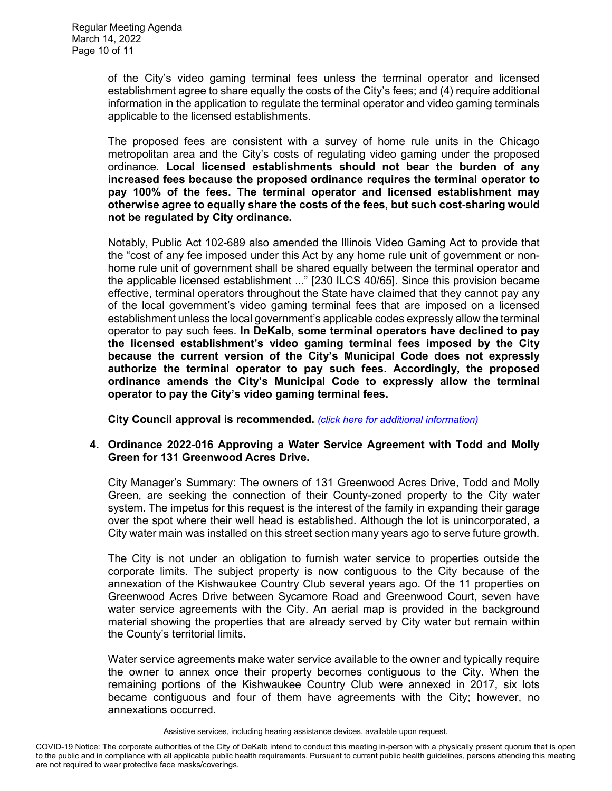of the City's video gaming terminal fees unless the terminal operator and licensed establishment agree to share equally the costs of the City's fees; and (4) require additional information in the application to regulate the terminal operator and video gaming terminals applicable to the licensed establishments.

The proposed fees are consistent with a survey of home rule units in the Chicago metropolitan area and the City's costs of regulating video gaming under the proposed ordinance. **Local licensed establishments should not bear the burden of any increased fees because the proposed ordinance requires the terminal operator to pay 100% of the fees. The terminal operator and licensed establishment may otherwise agree to equally share the costs of the fees, but such cost-sharing would not be regulated by City ordinance.**

Notably, Public Act 102-689 also amended the Illinois Video Gaming Act to provide that the "cost of any fee imposed under this Act by any home rule unit of government or nonhome rule unit of government shall be shared equally between the terminal operator and the applicable licensed establishment ..." [230 ILCS 40/65]. Since this provision became effective, terminal operators throughout the State have claimed that they cannot pay any of the local government's video gaming terminal fees that are imposed on a licensed establishment unless the local government's applicable codes expressly allow the terminal operator to pay such fees. **In DeKalb, some terminal operators have declined to pay the licensed establishment's video gaming terminal fees imposed by the City because the current version of the City's Municipal Code does not expressly authorize the terminal operator to pay such fees. Accordingly, the proposed ordinance amends the City's Municipal Code to expressly allow the terminal operator to pay the City's video gaming terminal fees.**

**City Council approval is recommended.** *[\(click here for additional information\)](https://www.cityofdekalb.com/DocumentCenter/View/13666/12-Ord-2022-015)*

#### **4. Ordinance 2022-016 Approving a Water Service Agreement with Todd and Molly Green for 131 Greenwood Acres Drive.**

City Manager's Summary: The owners of 131 Greenwood Acres Drive, Todd and Molly Green, are seeking the connection of their County-zoned property to the City water system. The impetus for this request is the interest of the family in expanding their garage over the spot where their well head is established. Although the lot is unincorporated, a City water main was installed on this street section many years ago to serve future growth.

The City is not under an obligation to furnish water service to properties outside the corporate limits. The subject property is now contiguous to the City because of the annexation of the Kishwaukee Country Club several years ago. Of the 11 properties on Greenwood Acres Drive between Sycamore Road and Greenwood Court, seven have water service agreements with the City. An aerial map is provided in the background material showing the properties that are already served by City water but remain within the County's territorial limits.

Water service agreements make water service available to the owner and typically require the owner to annex once their property becomes contiguous to the City. When the remaining portions of the Kishwaukee Country Club were annexed in 2017, six lots became contiguous and four of them have agreements with the City; however, no annexations occurred.

Assistive services, including hearing assistance devices, available upon request.

COVID-19 Notice: The corporate authorities of the City of DeKalb intend to conduct this meeting in-person with a physically present quorum that is open to the public and in compliance with all applicable public health requirements. Pursuant to current public health guidelines, persons attending this meeting are not required to wear protective face masks/coverings.